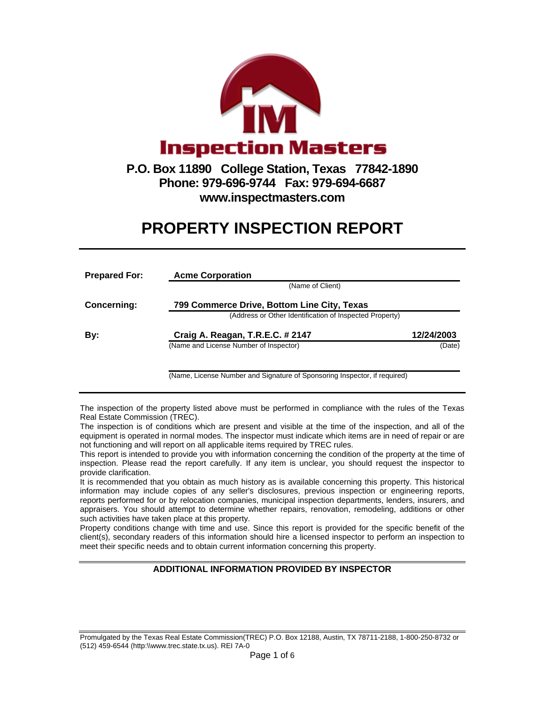

## **Phone: 979-696-9744 Fax: 979-694-6687 www.inspectmasters.com**

## **PROPERTY INSPECTION REPORT**

| <b>Prepared For:</b> | <b>Acme Corporation</b>                                                   |            |  |  |  |  |
|----------------------|---------------------------------------------------------------------------|------------|--|--|--|--|
|                      | (Name of Client)                                                          |            |  |  |  |  |
| Concerning:          | 799 Commerce Drive, Bottom Line City, Texas                               |            |  |  |  |  |
|                      | (Address or Other Identification of Inspected Property)                   |            |  |  |  |  |
| By:                  | Craig A. Reagan, T.R.E.C. # 2147                                          | 12/24/2003 |  |  |  |  |
|                      | (Name and License Number of Inspector)                                    | (Date)     |  |  |  |  |
|                      |                                                                           |            |  |  |  |  |
|                      | (Name, License Number and Signature of Sponsoring Inspector, if required) |            |  |  |  |  |

The inspection of the property listed above must be performed in compliance with the rules of the Texas Real Estate Commission (TREC).

The inspection is of conditions which are present and visible at the time of the inspection, and all of the equipment is operated in normal modes. The inspector must indicate which items are in need of repair or are not functioning and will report on all applicable items required by TREC rules.

This report is intended to provide you with information concerning the condition of the property at the time of inspection. Please read the report carefully. If any item is unclear, you should request the inspector to provide clarification.

It is recommended that you obtain as much history as is available concerning this property. This historical information may include copies of any seller's disclosures, previous inspection or engineering reports, reports performed for or by relocation companies, municipal inspection departments, lenders, insurers, and appraisers. You should attempt to determine whether repairs, renovation, remodeling, additions or other such activities have taken place at this property.

Property conditions change with time and use. Since this report is provided for the specific benefit of the client(s), secondary readers of this information should hire a licensed inspector to perform an inspection to meet their specific needs and to obtain current information concerning this property.

## **ADDITIONAL INFORMATION PROVIDED BY INSPECTOR**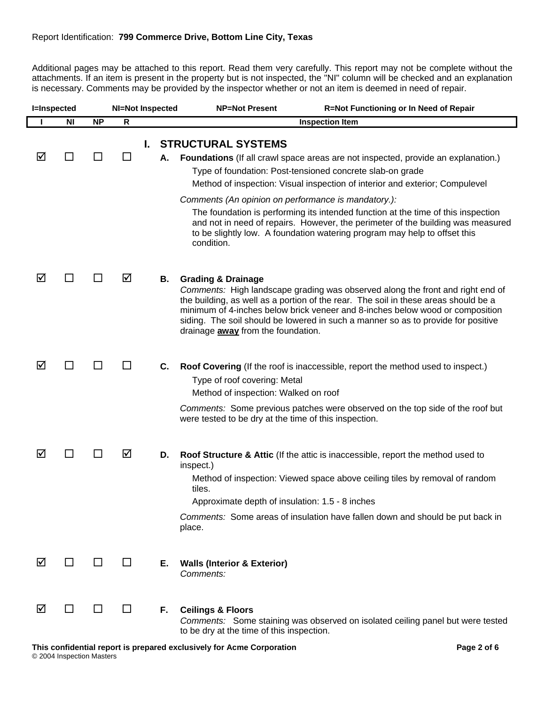Additional pages may be attached to this report. Read them very carefully. This report may not be complete without the attachments. If an item is present in the property but is not inspected, the "NI" column will be checked and an explanation is necessary. Comments may be provided by the inspector whether or not an item is deemed in need of repair.

| <b>I=Inspected</b> |                |           | <b>NI=Not Inspected</b> |    | <b>NP=Not Present</b><br>R=Not Functioning or In Need of Repair                                                                                                                                                                                                                                                                                                                                                           |
|--------------------|----------------|-----------|-------------------------|----|---------------------------------------------------------------------------------------------------------------------------------------------------------------------------------------------------------------------------------------------------------------------------------------------------------------------------------------------------------------------------------------------------------------------------|
|                    | <b>NI</b>      | <b>NP</b> | R                       |    | <b>Inspection Item</b>                                                                                                                                                                                                                                                                                                                                                                                                    |
|                    |                |           |                         | L. | <b>STRUCTURAL SYSTEMS</b>                                                                                                                                                                                                                                                                                                                                                                                                 |
| ☑                  | ப              |           | $\Box$                  | А. | <b>Foundations</b> (If all crawl space areas are not inspected, provide an explanation.)                                                                                                                                                                                                                                                                                                                                  |
|                    |                |           |                         |    | Type of foundation: Post-tensioned concrete slab-on grade                                                                                                                                                                                                                                                                                                                                                                 |
|                    |                |           |                         |    | Method of inspection: Visual inspection of interior and exterior; Compulevel                                                                                                                                                                                                                                                                                                                                              |
|                    |                |           |                         |    | Comments (An opinion on performance is mandatory.):                                                                                                                                                                                                                                                                                                                                                                       |
|                    |                |           |                         |    | The foundation is performing its intended function at the time of this inspection<br>and not in need of repairs. However, the perimeter of the building was measured<br>to be slightly low. A foundation watering program may help to offset this<br>condition.                                                                                                                                                           |
| ☑                  |                |           | ☑                       | В. | <b>Grading &amp; Drainage</b><br>Comments: High landscape grading was observed along the front and right end of<br>the building, as well as a portion of the rear. The soil in these areas should be a<br>minimum of 4-inches below brick veneer and 8-inches below wood or composition<br>siding. The soil should be lowered in such a manner so as to provide for positive<br>drainage <b>away</b> from the foundation. |
| ☑                  | $\blacksquare$ |           | $\blacksquare$          | C. | Roof Covering (If the roof is inaccessible, report the method used to inspect.)<br>Type of roof covering: Metal<br>Method of inspection: Walked on roof<br>Comments: Some previous patches were observed on the top side of the roof but<br>were tested to be dry at the time of this inspection.                                                                                                                         |
| ☑                  |                |           | ☑                       | D. | Roof Structure & Attic (If the attic is inaccessible, report the method used to<br>inspect.)<br>Method of inspection: Viewed space above ceiling tiles by removal of random<br>tiles.<br>Approximate depth of insulation: 1.5 - 8 inches<br>Comments: Some areas of insulation have fallen down and should be put back in<br>place.                                                                                       |
| ☑                  | ப              |           | ΙI                      | Е. | <b>Walls (Interior &amp; Exterior)</b><br>Comments:                                                                                                                                                                                                                                                                                                                                                                       |
| ☑                  |                |           |                         | F. | <b>Ceilings &amp; Floors</b><br>Comments: Some staining was observed on isolated ceiling panel but were tested<br>to be dry at the time of this inspection.                                                                                                                                                                                                                                                               |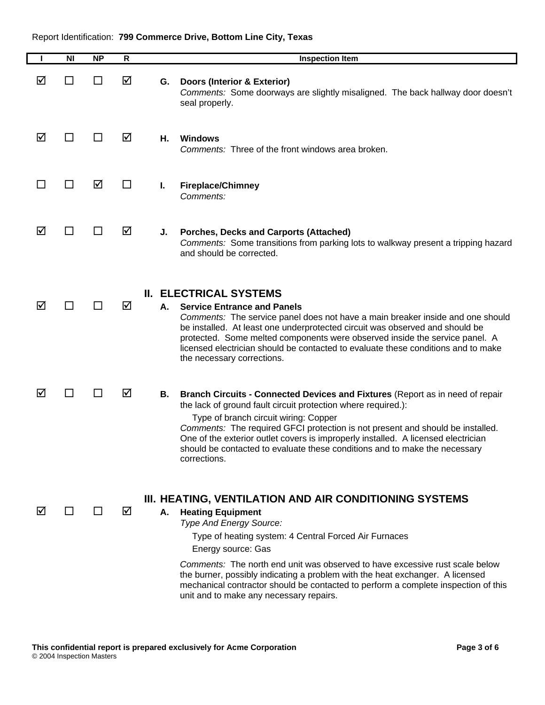| H  | <b>NI</b>      | <b>NP</b> | R      |    | <b>Inspection Item</b>                                                                                                                                                                                                                                                                                                                                                                                                                                                                         |
|----|----------------|-----------|--------|----|------------------------------------------------------------------------------------------------------------------------------------------------------------------------------------------------------------------------------------------------------------------------------------------------------------------------------------------------------------------------------------------------------------------------------------------------------------------------------------------------|
| ☑  | $\Box$         | ΙI        | ☑      | G. | <b>Doors (Interior &amp; Exterior)</b><br>Comments: Some doorways are slightly misaligned. The back hallway door doesn't<br>seal properly.                                                                                                                                                                                                                                                                                                                                                     |
| ☑  | H              |           | ☑      | Н. | <b>Windows</b><br>Comments: Three of the front windows area broken.                                                                                                                                                                                                                                                                                                                                                                                                                            |
| M. | H              | ☑         | $\Box$ | Ι. | <b>Fireplace/Chimney</b><br>Comments:                                                                                                                                                                                                                                                                                                                                                                                                                                                          |
| ☑  | ΙI             |           | ☑      | J. | <b>Porches, Decks and Carports (Attached)</b><br>Comments: Some transitions from parking lots to walkway present a tripping hazard<br>and should be corrected.                                                                                                                                                                                                                                                                                                                                 |
| ☑  | ΙI             |           | ☑      | А. | <b>II. ELECTRICAL SYSTEMS</b><br><b>Service Entrance and Panels</b><br>Comments: The service panel does not have a main breaker inside and one should<br>be installed. At least one underprotected circuit was observed and should be<br>protected. Some melted components were observed inside the service panel. A<br>licensed electrician should be contacted to evaluate these conditions and to make<br>the necessary corrections.                                                        |
| ☑  | $\blacksquare$ |           | ☑      | В. | Branch Circuits - Connected Devices and Fixtures (Report as in need of repair<br>the lack of ground fault circuit protection where required.):<br>Type of branch circuit wiring: Copper<br>Comments: The required GFCI protection is not present and should be installed.<br>One of the exterior outlet covers is improperly installed. A licensed electrician<br>should be contacted to evaluate these conditions and to make the necessary<br>corrections.                                   |
| ☑  |                |           | ☑      | Α. | III. HEATING, VENTILATION AND AIR CONDITIONING SYSTEMS<br><b>Heating Equipment</b><br>Type And Energy Source:<br>Type of heating system: 4 Central Forced Air Furnaces<br>Energy source: Gas<br>Comments: The north end unit was observed to have excessive rust scale below<br>the burner, possibly indicating a problem with the heat exchanger. A licensed<br>mechanical contractor should be contacted to perform a complete inspection of this<br>unit and to make any necessary repairs. |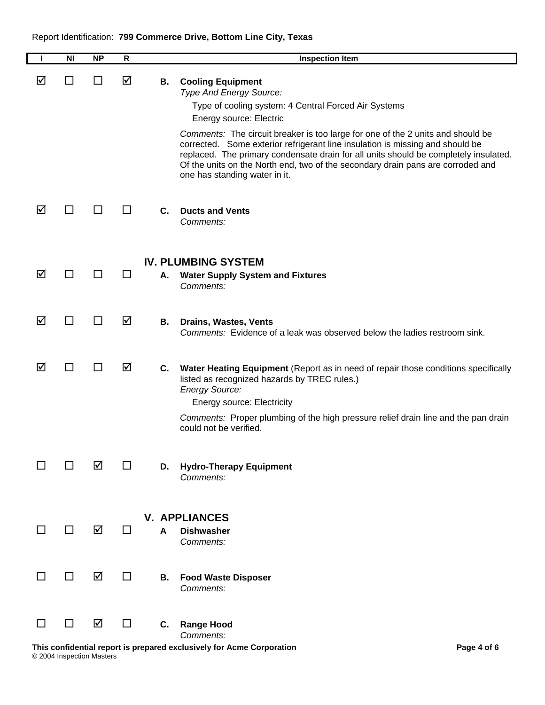|    | <b>NI</b>    | <b>NP</b>    | R  |    | <b>Inspection Item</b>                                                                                                                                                                                                                                                                                                                                                                                                                                                                                                 |
|----|--------------|--------------|----|----|------------------------------------------------------------------------------------------------------------------------------------------------------------------------------------------------------------------------------------------------------------------------------------------------------------------------------------------------------------------------------------------------------------------------------------------------------------------------------------------------------------------------|
| ⊠  | $\mathbf{I}$ | $\mathsf{L}$ | ☑  | В. | <b>Cooling Equipment</b><br>Type And Energy Source:<br>Type of cooling system: 4 Central Forced Air Systems<br>Energy source: Electric<br>Comments: The circuit breaker is too large for one of the 2 units and should be<br>corrected. Some exterior refrigerant line insulation is missing and should be<br>replaced. The primary condensate drain for all units should be completely insulated.<br>Of the units on the North end, two of the secondary drain pans are corroded and<br>one has standing water in it. |
| ☑  | ΙI           | ΙI           | H  | C. | <b>Ducts and Vents</b><br>Comments:                                                                                                                                                                                                                                                                                                                                                                                                                                                                                    |
| ☑  | ΙI           |              | ΙI | А. | <b>IV. PLUMBING SYSTEM</b><br><b>Water Supply System and Fixtures</b><br>Comments:                                                                                                                                                                                                                                                                                                                                                                                                                                     |
| ☑  | H            | ΙI           | ☑  | В. | <b>Drains, Wastes, Vents</b><br>Comments: Evidence of a leak was observed below the ladies restroom sink.                                                                                                                                                                                                                                                                                                                                                                                                              |
| ☑  | ΙI           | ΙI           | ☑  | C. | Water Heating Equipment (Report as in need of repair those conditions specifically<br>listed as recognized hazards by TREC rules.)<br><b>Energy Source:</b><br><b>Energy source: Electricity</b><br>Comments: Proper plumbing of the high pressure relief drain line and the pan drain<br>could not be verified.                                                                                                                                                                                                       |
|    |              | ☑            |    | D. | <b>Hydro-Therapy Equipment</b><br>Comments:                                                                                                                                                                                                                                                                                                                                                                                                                                                                            |
|    | П            | ☑            | ΙI | A  | <b>V. APPLIANCES</b><br><b>Dishwasher</b><br>Comments:                                                                                                                                                                                                                                                                                                                                                                                                                                                                 |
|    | П            | ☑            | П  | В. | <b>Food Waste Disposer</b><br>Comments:                                                                                                                                                                                                                                                                                                                                                                                                                                                                                |
| ΙI | □            | ☑            | П  | C. | <b>Range Hood</b><br>Comments:<br>This confidential report is prepared exclusively for Acme Corporation<br>Page 4 of 6                                                                                                                                                                                                                                                                                                                                                                                                 |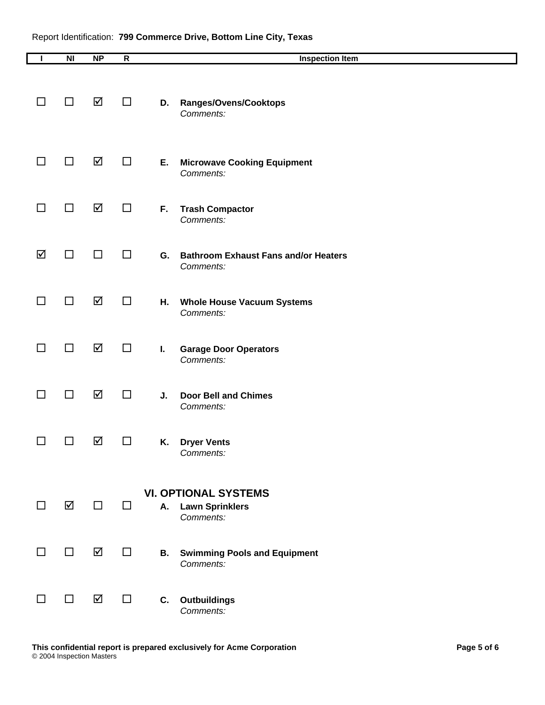| L  | N <sub>l</sub> | <b>NP</b> | ${\sf R}$ |    | <b>Inspection Item</b>                                             |
|----|----------------|-----------|-----------|----|--------------------------------------------------------------------|
| ΙI | □              | ☑         | □         | D. | Ranges/Ovens/Cooktops<br>Comments:                                 |
| ΙI | □              | ☑         | □         | Ε. | <b>Microwave Cooking Equipment</b><br>Comments:                    |
| l. | □              | ☑         | □         | F. | <b>Trash Compactor</b><br>Comments:                                |
| ☑  | □              | □         | $\Box$    | G. | <b>Bathroom Exhaust Fans and/or Heaters</b><br>Comments:           |
| l. | ΙI             | ☑         | □         | Н. | <b>Whole House Vacuum Systems</b><br>Comments:                     |
| ΙI | □              | ☑         | □         | I. | <b>Garage Door Operators</b><br>Comments:                          |
| l. | $\Box$         | ☑         | $\Box$    | J. | <b>Door Bell and Chimes</b><br>Comments:                           |
|    | - 1            | ☑         | ப         | Κ. | <b>Dryer Vents</b><br>Comments:                                    |
| H  | ☑              | $\Box$    | □         | A. | <b>VI. OPTIONAL SYSTEMS</b><br><b>Lawn Sprinklers</b><br>Comments: |
|    | $\Box$         | ☑         | $\Box$    | В. | <b>Swimming Pools and Equipment</b><br>Comments:                   |
| ΙI | □              | ☑         | $\Box$    | C. | Outbuildings<br>Comments:                                          |